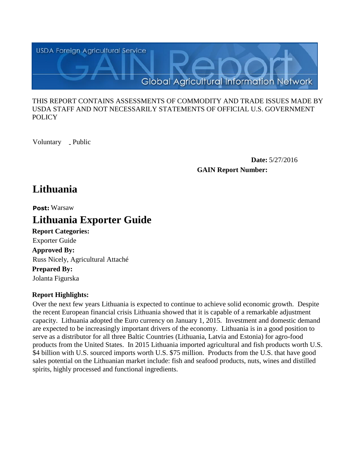

#### THIS REPORT CONTAINS ASSESSMENTS OF COMMODITY AND TRADE ISSUES MADE BY USDA STAFF AND NOT NECESSARILY STATEMENTS OF OFFICIAL U.S. GOVERNMENT **POLICY**

Voluntary \_ Public

**Date:** 5/27/2016 **GAIN Report Number:**

## **Lithuania**

**Post:** Warsaw

# **Lithuania Exporter Guide**

**Report Categories: Approved By: Prepared By:**  Russ Nicely, Agricultural Attaché Exporter Guide

Jolanta Figurska

## **Report Highlights:**

Over the next few years Lithuania is expected to continue to achieve solid economic growth. Despite the recent European financial crisis Lithuania showed that it is capable of a remarkable adjustment capacity. Lithuania adopted the Euro currency on January 1, 2015. Investment and domestic demand are expected to be increasingly important drivers of the economy. Lithuania is in a good position to serve as a distributor for all three Baltic Countries (Lithuania, Latvia and Estonia) for agro-food products from the United States. In 2015 Lithuania imported agricultural and fish products worth U.S. \$4 billion with U.S. sourced imports worth U.S. \$75 million. Products from the U.S. that have good sales potential on the Lithuanian market include: fish and seafood products, nuts, wines and distilled spirits, highly processed and functional ingredients.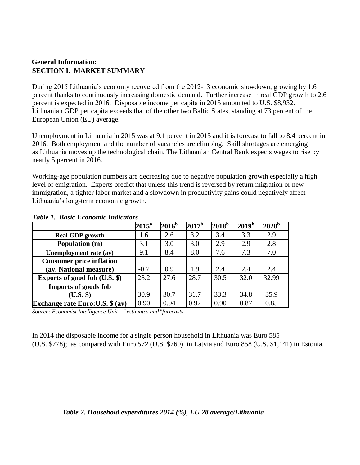## **General Information: SECTION I. MARKET SUMMARY**

During 2015 Lithuania's economy recovered from the 2012-13 economic slowdown, growing by 1.6 percent thanks to continuously increasing domestic demand. Further increase in real GDP growth to 2.6 percent is expected in 2016. Disposable income per capita in 2015 amounted to U.S. \$8,932. Lithuanian GDP per capita exceeds that of the other two Baltic States, standing at 73 percent of the European Union (EU) average.

Unemployment in Lithuania in 2015 was at 9.1 percent in 2015 and it is forecast to fall to 8.4 percent in 2016. Both employment and the number of vacancies are climbing. Skill shortages are emerging as Lithuania moves up the technological chain. The Lithuanian Central Bank expects wages to rise by nearly 5 percent in 2016.

Working-age population numbers are decreasing due to negative population growth especially a high level of emigration. Experts predict that unless this trend is reversed by return migration or new immigration, a tighter labor market and a slowdown in productivity gains could negatively affect Lithuania's long-term economic growth.

|                                   | $2015^{\mathrm{a}}$ | $2016^b$ | $2017^{\rm b}$ | $2018^{\rm b}$ | $2019^b$ | $2020^{\rm b}$ |
|-----------------------------------|---------------------|----------|----------------|----------------|----------|----------------|
| <b>Real GDP</b> growth            | 1.6                 | 2.6      | 3.2            | 3.4            | 3.3      | 2.9            |
| Population (m)                    | 3.1                 | 3.0      | 3.0            | 2.9            | 2.9      | 2.8            |
| Unemployment rate (av)            | 9.1                 | 8.4      | 8.0            | 7.6            | 7.3      | 7.0            |
| <b>Consumer price inflation</b>   |                     |          |                |                |          |                |
| (av. National measure)            | $-0.7$              | 0.9      | 1.9            | 2.4            | 2.4      | 2.4            |
| Exports of good fob (U.S. \$)     | 28.2                | 27.6     | 28.7           | 30.5           | 32.0     | 32.99          |
| <b>Imports of goods fob</b>       |                     |          |                |                |          |                |
| (U.S. \$)                         | 30.9                | 30.7     | 31.7           | 33.3           | 34.8     | 35.9           |
| Exchange rate Euro: U.S. $$ (av)$ | 0.90                | 0.94     | 0.92           | 0.90           | 0.87     | 0.85           |

#### *Table 1. Basic Economic Indicators*

*Source: Economist Intelligence Unit <sup>a</sup>estimates and <sup>b</sup> forecasts.*

In 2014 the disposable income for a single person household in Lithuania was Euro 585 (U.S. \$778); as compared with Euro 572 (U.S. \$760) in Latvia and Euro 858 (U.S. \$1,141) in Estonia.

#### *Table 2. Household expenditures 2014 (%), EU 28 average/Lithuania*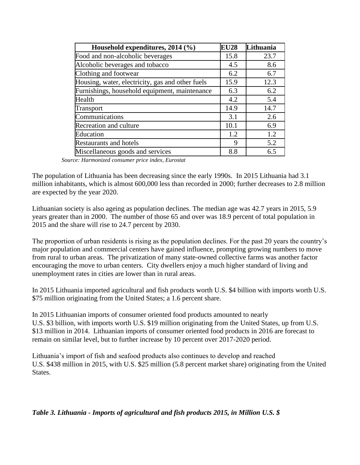| Household expenditures, 2014 (%)                 | <b>EU28</b> | Lithuania |
|--------------------------------------------------|-------------|-----------|
| Food and non-alcoholic beverages                 | 15.8        | 23.7      |
| Alcoholic beverages and tobacco                  | 4.5         | 8.6       |
| Clothing and footwear                            | 6.2         | 6.7       |
| Housing, water, electricity, gas and other fuels | 15.9        | 12.3      |
| Furnishings, household equipment, maintenance    | 6.3         | 6.2       |
| Health                                           | 4.2         | 5.4       |
| Transport                                        | 14.9        | 14.7      |
| Communications                                   | 3.1         | 2.6       |
| Recreation and culture                           | 10.1        | 6.9       |
| Education                                        | 1.2         | 1.2       |
| <b>Restaurants and hotels</b>                    | 9           | 5.2       |
| Miscellaneous goods and services                 | 8.8         | 6.5       |

 *Source: Harmonized consumer price index, Eurostat*

The population of Lithuania has been decreasing since the early 1990s. In 2015 Lithuania had 3.1 million inhabitants, which is almost 600,000 less than recorded in 2000; further decreases to 2.8 million are expected by the year 2020.

Lithuanian society is also ageing as population declines. The median age was 42.7 years in 2015, 5.9 years greater than in 2000. The number of those 65 and over was 18.9 percent of total population in 2015 and the share will rise to 24.7 percent by 2030.

The proportion of urban residents is rising as the population declines. For the past 20 years the country's major population and commercial centers have gained influence, prompting growing numbers to move from rural to urban areas. The privatization of many state-owned collective farms was another factor encouraging the move to urban centers. City dwellers enjoy a much higher standard of living and unemployment rates in cities are lower than in rural areas.

In 2015 Lithuania imported agricultural and fish products worth U.S. \$4 billion with imports worth U.S. \$75 million originating from the United States; a 1.6 percent share.

In 2015 Lithuanian imports of consumer oriented food products amounted to nearly U.S. \$3 billion, with imports worth U.S. \$19 million originating from the United States, up from U.S. \$13 million in 2014. Lithuanian imports of consumer oriented food products in 2016 are forecast to remain on similar level, but to further increase by 10 percent over 2017-2020 period.

Lithuania's import of fish and seafood products also continues to develop and reached U.S. \$438 million in 2015, with U.S. \$25 million (5.8 percent market share) originating from the United States.

*Table 3. Lithuania - Imports of agricultural and fish products 2015, in Million U.S. \$*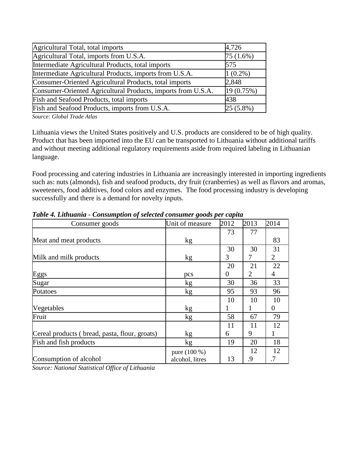| Agricultural Total, total imports                            | 4,726       |
|--------------------------------------------------------------|-------------|
| Agricultural Total, imports from U.S.A.                      | $75(1.6\%)$ |
| Intermediate Agricultural Products, total imports            | 575         |
| Intermediate Agricultural Products, imports from U.S.A.      | $1(0.2\%)$  |
| Consumer-Oriented Agricultural Products, total imports       | 2,848       |
| Consumer-Oriented Agricultural Products, imports from U.S.A. | 19(0.75%)   |
| Fish and Seafood Products, total imports                     | 438         |
| Fish and Seafood Products, imports from U.S.A.               | $25(5.8\%)$ |

*Source: Global Trade Atlas*

Lithuania views the United States positively and U.S. products are considered to be of high quality. Product that has been imported into the EU can be transported to Lithuania without additional tariffs and without meeting additional regulatory requirements aside from required labeling in Lithuanian language.

Food processing and catering industries in Lithuania are increasingly interested in importing ingredients such as: nuts (almonds), fish and seafood products, dry fruit (cranberries) as well as flavors and aromas, sweeteners, food additives, food colors and enzymes. The food processing industry is developing successfully and there is a demand for novelty inputs.

| Consumer goods                                | o<br>Unit of measure | 2012           | 2013 | 2014     |
|-----------------------------------------------|----------------------|----------------|------|----------|
|                                               |                      | 73             | 77   |          |
| Meat and meat products                        | kg                   |                |      | 83       |
|                                               |                      | 30             | 30   | 31       |
| Milk and milk products                        | kg                   | 3              | 7    | 2        |
|                                               |                      | 20             | 21   | 22       |
| Eggs                                          | pcs                  | $\overline{0}$ | 2    | 4        |
| Sugar                                         | kg                   | 30             | 36   | 33       |
| Potatoes                                      | kg                   | 95             | 93   | 96       |
|                                               |                      | 10             | 10   | 10       |
| Vegetables                                    | kg                   |                | 1    | $\theta$ |
| Fruit                                         | kg                   | 58             | 67   | 79       |
|                                               |                      | 11             | 11   | 12       |
| Cereal products (bread, pasta, flour, groats) | kg                   | 6              | 9    |          |
| Fish and fish products                        | kg                   | 19             | 20   | 18       |
|                                               | pure (100 %)         |                | 12   | 12       |
| Consumption of alcohol                        | alcohol, litres      | 13             | .9   | .7       |

*Table 4. Lithuania - Consumption of selected consumer goods per capita* 

*Source: National Statistical Office of Lithuania*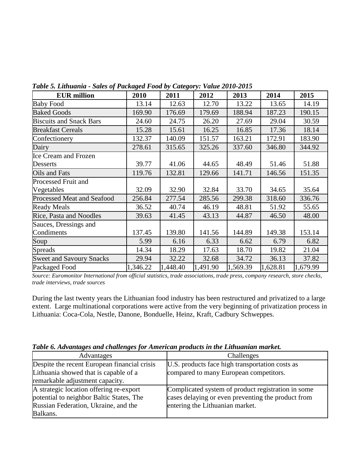| <b>EUR</b> million                | 2010     | 2011     | 2012     | 2013     | 2014     | 2015     |
|-----------------------------------|----------|----------|----------|----------|----------|----------|
| <b>Baby Food</b>                  | 13.14    | 12.63    | 12.70    | 13.22    | 13.65    | 14.19    |
| <b>Baked Goods</b>                | 169.90   | 176.69   | 179.69   | 188.94   | 187.23   | 190.15   |
| <b>Biscuits and Snack Bars</b>    | 24.60    | 24.75    | 26.20    | 27.69    | 29.04    | 30.59    |
| <b>Breakfast Cereals</b>          | 15.28    | 15.61    | 16.25    | 16.85    | 17.36    | 18.14    |
| Confectionery                     | 132.37   | 140.09   | 151.57   | 163.21   | 172.91   | 183.90   |
| Dairy                             | 278.61   | 315.65   | 325.26   | 337.60   | 346.80   | 344.92   |
| <b>Ice Cream and Frozen</b>       |          |          |          |          |          |          |
| <b>Desserts</b>                   | 39.77    | 41.06    | 44.65    | 48.49    | 51.46    | 51.88    |
| Oils and Fats                     | 119.76   | 132.81   | 129.66   | 141.71   | 146.56   | 151.35   |
| <b>Processed Fruit and</b>        |          |          |          |          |          |          |
| Vegetables                        | 32.09    | 32.90    | 32.84    | 33.70    | 34.65    | 35.64    |
| <b>Processed Meat and Seafood</b> | 256.84   | 277.54   | 285.56   | 299.38   | 318.60   | 336.76   |
| <b>Ready Meals</b>                | 36.52    | 40.74    | 46.19    | 48.81    | 51.92    | 55.65    |
| Rice, Pasta and Noodles           | 39.63    | 41.45    | 43.13    | 44.87    | 46.50    | 48.00    |
| Sauces, Dressings and             |          |          |          |          |          |          |
| Condiments                        | 137.45   | 139.80   | 141.56   | 144.89   | 149.38   | 153.14   |
| Soup                              | 5.99     | 6.16     | 6.33     | 6.62     | 6.79     | 6.82     |
| <b>Spreads</b>                    | 14.34    | 18.29    | 17.63    | 18.70    | 19.82    | 21.04    |
| <b>Sweet and Savoury Snacks</b>   | 29.94    | 32.22    | 32.68    | 34.72    | 36.13    | 37.82    |
| Packaged Food                     | 1,346.22 | 1,448.40 | 1,491.90 | 1,569.39 | 1,628.81 | 1,679.99 |

*Table 5. Lithuania - Sales of Packaged Food by Category: Value 2010-2015*

*Source: Euromonitor International from official statistics, trade associations, trade press, company research, store checks, trade interviews, trade sources*

During the last twenty years the Lithuanian food industry has been restructured and privatized to a large extent. Large multinational corporations were active from the very beginning of privatization process in Lithuania: Coca-Cola, Nestle, Danone, Bonduelle, Heinz, Kraft, Cadbury Schweppes.

| Advantages                                                                                                                  | Challenges                                                                                                                                  |
|-----------------------------------------------------------------------------------------------------------------------------|---------------------------------------------------------------------------------------------------------------------------------------------|
| Despite the recent European financial crisis<br>Lithuania showed that is capable of a                                       | U.S. products face high transportation costs as<br>compared to many European competitors.                                                   |
| remarkable adjustment capacity.                                                                                             |                                                                                                                                             |
| A strategic location offering re-export<br>potential to neighbor Baltic States, The<br>Russian Federation, Ukraine, and the | Complicated system of product registration in some<br>cases delaying or even preventing the product from<br>entering the Lithuanian market. |
| Balkans.                                                                                                                    |                                                                                                                                             |

*Table 6. Advantages and challenges for American products in the Lithuanian market.*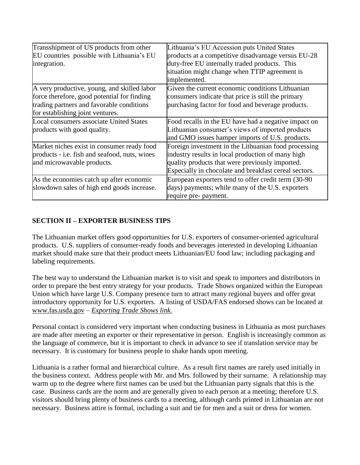| Transshipment of US products from other<br>EU countries possible with Lithuania's EU<br>integration.                                                                        | Lithuania's EU Accession puts United States<br>products at a competitive disadvantage versus EU-28<br>duty-free EU internally traded products. This<br>situation might change when TTIP agreement is<br>implemented.  |
|-----------------------------------------------------------------------------------------------------------------------------------------------------------------------------|-----------------------------------------------------------------------------------------------------------------------------------------------------------------------------------------------------------------------|
| A very productive, young, and skilled labor<br>force therefore, good potential for finding<br>trading partners and favorable conditions<br>for establishing joint ventures. | Given the current economic conditions Lithuanian<br>consumers indicate that price is still the primary<br>purchasing factor for food and beverage products.                                                           |
| <b>Local consumers associate United States</b><br>products with good quality.                                                                                               | Food recalls in the EU have had a negative impact on<br>Lithuanian consumer's views of imported products<br>and GMO issues hamper imports of U.S. products.                                                           |
| Market niches exist in consumer ready food<br>products - i.e. fish and seafood, nuts, wines<br>and microwavable products.                                                   | Foreign investment in the Lithuanian food processing<br>industry results in local production of many high<br>quality products that were previously imported.<br>Especially in chocolate and breakfast cereal sectors. |
| As the economies catch up after economic<br>slowdown sales of high end goods increase.                                                                                      | European exporters tend to offer credit term (30-90)<br>days) payments; while many of the U.S. exporters<br>require pre- payment.                                                                                     |

## **SECTION II – EXPORTER BUSINESS TIPS**

The Lithuanian market offers good opportunities for U.S. exporters of consumer-oriented agricultural products. U.S. suppliers of consumer-ready foods and beverages interested in developing Lithuanian market should make sure that their product meets Lithuanian/EU food law; including packaging and labeling requirements.

The best way to understand the Lithuanian market is to visit and speak to importers and distributors in order to prepare the best entry strategy for your products. Trade Shows organized within the European Union which have large U.S. Company presence turn to attract many regional buyers and offer great introductory opportunity for U.S. exporters. A listing of USDA/FAS endorsed shows can be located at [www.fas.usda.gov](http://www.fas.usda.gov/) – *[Exporting Trade Shows link.](http://www.fas.usda.gov/international-trade-shows-2016)*

Personal contact is considered very important when conducting business in Lithuania as most purchases are made after meeting an exporter or their representative in person. English is increasingly common as the language of commerce, but it is important to check in advance to see if translation service may be necessary. It is customary for business people to shake hands upon meeting.

Lithuania is a rather formal and hierarchical culture. As a result first names are rarely used initially in the business context. Address people with Mr. and Mrs. followed by their surname. A relationship may warm up to the degree where first names can be used but the Lithuanian party signals that this is the case. Business cards are the norm and are generally given to each person at a meeting; therefore U.S. visitors should bring plenty of business cards to a meeting, although cards printed in Lithuanian are not necessary. Business attire is formal, including a suit and tie for men and a suit or dress for women.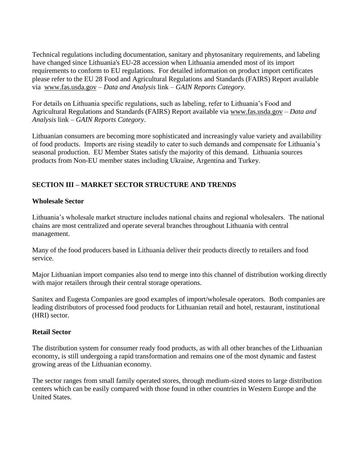Technical regulations including documentation, sanitary and phytosanitary requirements, and labeling have changed since Lithuania's EU-28 accession when Lithuania amended most of its import requirements to conform to EU regulations. For detailed information on product import certificates please refer to the EU 28 Food and Agricultural Regulations and Standards (FAIRS) Report available via [www.fas.usda.gov](http://www.fas.usda.gov/) – *Data and Analysis* link *– GAIN Reports Category*.

For details on Lithuania specific regulations, such as labeling, refer to Lithuania's Food and Agricultural Regulations and Standards (FAIRS) Report available via [www.fas.usda.gov](http://www.fas.usda.gov/) – *Data and Analysis* link *– GAIN Reports Category*.

Lithuanian consumers are becoming more sophisticated and increasingly value variety and availability of food products. Imports are rising steadily to cater to such demands and compensate for Lithuania's seasonal production. EU Member States satisfy the majority of this demand. Lithuania sources products from Non-EU member states including Ukraine, Argentina and Turkey.

## **SECTION III – MARKET SECTOR STRUCTURE AND TRENDS**

#### **Wholesale Sector**

Lithuania's wholesale market structure includes national chains and regional wholesalers. The national chains are most centralized and operate several branches throughout Lithuania with central management.

Many of the food producers based in Lithuania deliver their products directly to retailers and food service.

Major Lithuanian import companies also tend to merge into this channel of distribution working directly with major retailers through their central storage operations.

Sanitex and Eugesta Companies are good examples of import/wholesale operators. Both companies are leading distributors of processed food products for Lithuanian retail and hotel, restaurant, institutional (HRI) sector.

#### **Retail Sector**

The distribution system for consumer ready food products, as with all other branches of the Lithuanian economy, is still undergoing a rapid transformation and remains one of the most dynamic and fastest growing areas of the Lithuanian economy.

The sector ranges from small family operated stores, through medium-sized stores to large distribution centers which can be easily compared with those found in other countries in Western Europe and the United States.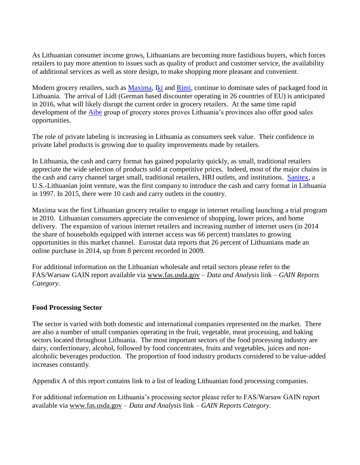As Lithuanian consumer income grows, Lithuanians are becoming more fastidious buyers, which forces retailers to pay more attention to issues such as quality of product and customer service, the availability of additional services as well as store design, to make shopping more pleasant and convenient.

Modern grocery retailers, such as [Maxima,](https://www.maxima.lt/en) [Iki](http://www.iki.lt/) and [Rimi,](http://www.rimi.lt/) continue to dominate sales of packaged food in Lithuania. The arrival of Lidl (German based discounter operating in 26 countries of EU) is anticipated in 2016, what will likely disrupt the current order in grocery retailers. At the same time rapid development of the **Aibe** group of grocery stores proves Lithuania's provinces also offer good sales opportunities.

The role of private labeling is increasing in Lithuania as consumers seek value. Their confidence in private label products is growing due to quality improvements made by retailers.

In Lithuania, the cash and carry format has gained popularity quickly, as small, traditional retailers appreciate the wide selection of products sold at competitive prices. Indeed, most of the major chains in the cash and carry channel target small, traditional retailers, HRI outlets, and institutions. [Sanitex,](http://www.sanitex.eu/products/0-s-s-s/?lang=1&plid=436) a U.S.-Lithuanian joint venture, was the first company to introduce the cash and carry format in Lithuania in 1997. In 2015, there were 10 cash and carry outlets in the country.

Maxima was the first Lithuanian grocery retailer to engage in internet retailing launching a trial program in 2010. Lithuanian consumers appreciate the convenience of shopping, lower prices, and home delivery. The expansion of various internet retailers and increasing number of internet users (in 2014 the share of households equipped with internet access was 66 percent) translates to growing opportunities in this market channel. Eurostat data reports that 26 percent of Lithuanians made an online purchase in 2014, up from 8 percent recorded in 2009.

For additional information on the Lithuanian wholesale and retail sectors please refer to the FAS/Warsaw GAIN report available via [www.fas.usda.gov](http://www.fas.usda.gov/) – *Data and Analysis* link *– GAIN Reports Category*.

#### **Food Processing Sector**

The sector is varied with both domestic and international companies represented on the market. There are also a number of small companies operating in the fruit, vegetable, meat processing, and baking sectors located throughout Lithuania. The most important sectors of the food processing industry are dairy, confectionary, alcohol, followed by food concentrates, fruits and vegetables, juices and nonalcoholic beverages production. The proportion of food industry products considered to be value-added increases constantly.

Appendix A of this report contains link to a list of leading Lithuanian food processing companies.

For additional information on Lithuania's processing sector please refer to FAS/Warsaw GAIN report available via [www.fas.usda.gov](http://www.fas.usda.gov/) – *Data and Analysis* link *– GAIN Reports Category*.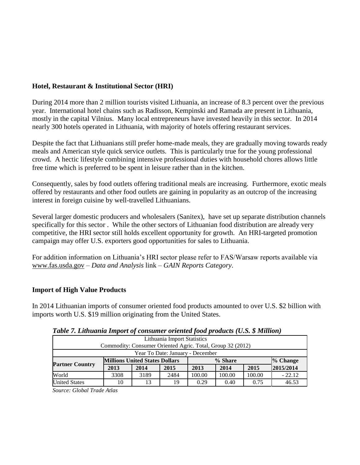#### **Hotel, Restaurant & Institutional Sector (HRI)**

During 2014 more than 2 million tourists visited Lithuania, an increase of 8.3 percent over the previous year. International hotel chains such as Radisson, Kempinski and Ramada are present in Lithuania, mostly in the capital Vilnius. Many local entrepreneurs have invested heavily in this sector. In 2014 nearly 300 hotels operated in Lithuania, with majority of hotels offering restaurant services.

Despite the fact that Lithuanians still prefer home-made meals, they are gradually moving towards ready meals and American style quick service outlets. This is particularly true for the young professional crowd. A hectic lifestyle combining intensive professional duties with household chores allows little free time which is preferred to be spent in leisure rather than in the kitchen.

Consequently, sales by food outlets offering traditional meals are increasing. Furthermore, exotic meals offered by restaurants and other food outlets are gaining in popularity as an outcrop of the increasing interest in foreign cuisine by well-travelled Lithuanians.

Several larger domestic producers and wholesalers (Sanitex), have set up separate distribution channels specifically for this sector . While the other sectors of Lithuanian food distribution are already very competitive, the HRI sector still holds excellent opportunity for growth. An HRI-targeted promotion campaign may offer U.S. exporters good opportunities for sales to Lithuania.

For addition information on Lithuania's HRI sector please refer to FAS/Warsaw reports available via [www.fas.usda.gov](http://www.fas.usda.gov/) – *Data and Analysis* link *– GAIN Reports Category*.

#### **Import of High Value Products**

In 2014 Lithuanian imports of consumer oriented food products amounted to over U.S. \$2 billion with imports worth U.S. \$19 million originating from the United States.

| Lithuania Import Statistics                                |                                       |      |      |         |        |        |           |  |  |
|------------------------------------------------------------|---------------------------------------|------|------|---------|--------|--------|-----------|--|--|
| Commodity: Consumer Oriented Agric. Total, Group 32 (2012) |                                       |      |      |         |        |        |           |  |  |
| Year To Date: January - December                           |                                       |      |      |         |        |        |           |  |  |
|                                                            | <b>Millions United States Dollars</b> |      |      | % Share |        |        | % Change  |  |  |
| <b>Partner Country</b>                                     | 2013                                  | 2014 | 2015 | 2013    | 2014   | 2015   | 2015/2014 |  |  |
| World                                                      | 3308                                  | 3189 | 2484 | 100.00  | 100.00 | 100.00 | $-22.12$  |  |  |
| <b>United States</b>                                       | 10                                    | 13   | 19   | 0.29    | 0.40   | 0.75   | 46.53     |  |  |

*Table 7. Lithuania Import of consumer oriented food products (U.S. \$ Million)*

*Source: Global Trade Atlas*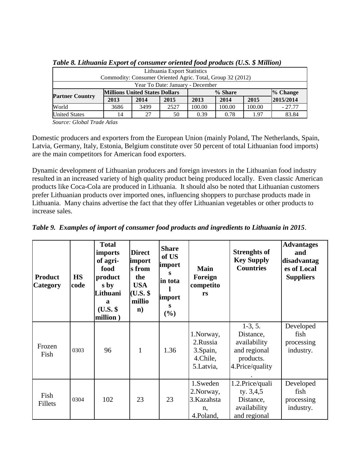| Lithuania Export Statistics                                |                                       |      |      |         |        |        |            |  |  |
|------------------------------------------------------------|---------------------------------------|------|------|---------|--------|--------|------------|--|--|
| Commodity: Consumer Oriented Agric. Total, Group 32 (2012) |                                       |      |      |         |        |        |            |  |  |
| Year To Date: January - December                           |                                       |      |      |         |        |        |            |  |  |
|                                                            | <b>Millions United States Dollars</b> |      |      | % Share |        |        | $%$ Change |  |  |
| <b>Partner Country</b>                                     | 2013                                  | 2014 | 2015 | 2013    | 2014   | 2015   | 2015/2014  |  |  |
| World                                                      | 3686                                  | 3499 | 2527 | 100.00  | 100.00 | 100.00 | $-27.77$   |  |  |
| <b>United States</b>                                       | 14                                    | 27   | 50   | 0.39    | 0.78   | 1.97   | 83.84      |  |  |

*Table 8. Lithuania Export of consumer oriented food products (U.S. \$ Million)*

*Source: Global Trade Atlas*

Domestic producers and exporters from the European Union (mainly Poland, The Netherlands, Spain, Latvia, Germany, Italy, Estonia, Belgium constitute over 50 percent of total Lithuanian food imports) are the main competitors for American food exporters.

Dynamic development of Lithuanian producers and foreign investors in the Lithuanian food industry resulted in an increased variety of high quality product being produced locally. Even classic American products like Coca-Cola are produced in Lithuania. It should also be noted that Lithuanian customers prefer Lithuanian products over imported ones, influencing shoppers to purchase products made in Lithuania. Many chains advertise the fact that they offer Lithuanian vegetables or other products to increase sales.

| <b>Product</b><br>Category | <b>HS</b><br>code | <b>Total</b><br>imports<br>of agri-<br>food<br>product<br>s by<br>Lithuani<br>a<br>$(U.S.$ \$<br>million) | <b>Direct</b><br>import<br>s from<br>the<br><b>USA</b><br>$(U.S.$ \$<br>millio<br>$\mathbf{n}$ | <b>Share</b><br>of US<br>import<br>S<br>in tota<br>import<br>S<br>$(\%)$ | <b>Main</b><br>Foreign<br>competito<br>rs                   | <b>Strenghts of</b><br><b>Key Supply</b><br><b>Countries</b>                            | <b>Advantages</b><br>and<br>disadvantag<br>es of Local<br><b>Suppliers</b> |
|----------------------------|-------------------|-----------------------------------------------------------------------------------------------------------|------------------------------------------------------------------------------------------------|--------------------------------------------------------------------------|-------------------------------------------------------------|-----------------------------------------------------------------------------------------|----------------------------------------------------------------------------|
| Frozen<br>Fish             | 0303              | 96                                                                                                        | $\mathbf{1}$                                                                                   | 1.36                                                                     | 1. Norway,<br>2.Russia<br>3.Spain,<br>4.Chile,<br>5.Latvia, | $1-3, 5.$<br>Distance,<br>availability<br>and regional<br>products.<br>4. Price/quality | Developed<br>fish<br>processing<br>industry.                               |
| Fish<br>Fillets            | 0304              | 102                                                                                                       | 23                                                                                             | 23                                                                       | 1.Sweden<br>2. Norway,<br>3.Kazahsta<br>n,<br>4.Poland,     | 1.2. Price/quali<br>ty. $3,4,5$<br>Distance,<br>availability<br>and regional            | Developed<br>fish<br>processing<br>industry.                               |

*Table 9. Examples of import of consumer food products and ingredients to Lithuania in 2015*.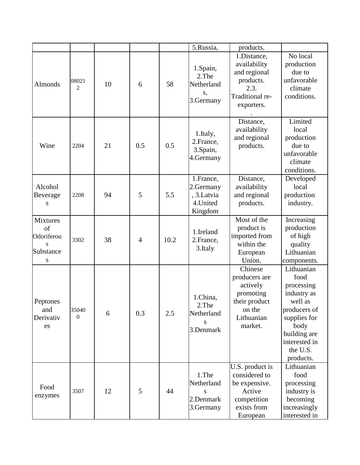|                                                            |                         |    |                |      | 5.Russia,                                          | products.                                                                                             |                                                                                                                                                              |
|------------------------------------------------------------|-------------------------|----|----------------|------|----------------------------------------------------|-------------------------------------------------------------------------------------------------------|--------------------------------------------------------------------------------------------------------------------------------------------------------------|
|                                                            |                         |    |                |      |                                                    | 1.Distance,<br>availability                                                                           | No local<br>production                                                                                                                                       |
| Almonds                                                    | 08021<br>$\overline{2}$ | 10 | 6              | 58   | 1.Spain,<br>2.The<br>Netherland<br>S,              | and regional<br>products.<br>2.3.                                                                     | due to<br>unfavorable<br>climate                                                                                                                             |
|                                                            |                         |    |                |      | 3.Germany                                          | Traditional re-<br>exporters.                                                                         | conditions.                                                                                                                                                  |
| Wine                                                       | 2204                    | 21 | 0.5            | 0.5  | 1.Italy,<br>2. France,<br>3.Spain,<br>4.Germany    | Distance,<br>availability<br>and regional<br>products.                                                | Limited<br>local<br>production<br>due to<br>unfavorable<br>climate<br>conditions.                                                                            |
|                                                            |                         |    |                |      | 1.France,                                          | Distance,                                                                                             | Developed                                                                                                                                                    |
| Alcohol                                                    |                         |    |                |      | 2.Germany                                          | availability                                                                                          | local                                                                                                                                                        |
| Beverage<br>S                                              | 2208                    | 94 | 5              | 5.5  | , 3.Latvia<br>4. United<br>Kingdom                 | and regional<br>products.                                                                             | production<br>industry.                                                                                                                                      |
| <b>Mixtures</b><br>of<br>Odoriferou<br>s<br>Substance<br>S | 3302                    | 38 | $\overline{4}$ | 10.2 | 1.Ireland<br>2.France,<br>3.Italy                  | Most of the<br>product is<br>imported from<br>within the<br>European<br>Union.                        | Increasing<br>production<br>of high<br>quality<br>Lithuanian<br>components.                                                                                  |
| Peptones<br>and<br>Derivativ<br>es                         | 35040<br>$\Omega$       | 6  | 0.3            | 2.5  | 1.China,<br>2.The<br>Netherland<br>S<br>3.Denmark  | Chinese<br>producers are<br>actively<br>promoting<br>their product<br>on the<br>Lithuanian<br>market. | Lithuanian<br>food<br>processing<br>industry as<br>well as<br>producers of<br>supplies for<br>body<br>building are<br>interested in<br>the U.S.<br>products. |
| Food<br>enzymes                                            | 3507                    | 12 | 5              | 44   | 1.The<br>Netherland<br>S<br>2.Denmark<br>3.Germany | U.S. product is<br>considered to<br>be expensive.<br>Active<br>competition<br>exists from<br>European | Lithuanian<br>food<br>processing<br>industry is<br>becoming<br>increasingly<br>interested in                                                                 |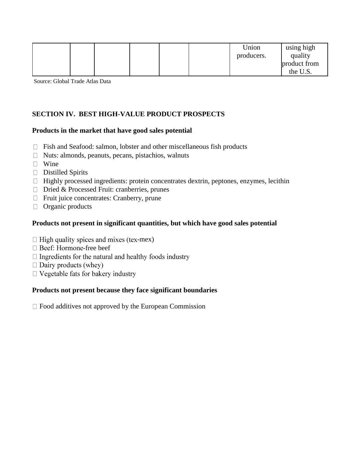|  |  |  | Union<br>producers. | using high<br>quality    |
|--|--|--|---------------------|--------------------------|
|  |  |  |                     | product from<br>the U.S. |

Source: Global Trade Atlas Data

## **SECTION IV. BEST HIGH-VALUE PRODUCT PROSPECTS**

#### **Products in the market that have good sales potential**

- $\Box$  Fish and Seafood: salmon, lobster and other miscellaneous fish products
- $\Box$  Nuts: almonds, peanuts, pecans, pistachios, walnuts
- **U** Wine
- Distilled Spirits
- $\Box$  Highly processed ingredients: protein concentrates dextrin, peptones, enzymes, lecithin
- $\Box$  Dried & Processed Fruit: cranberries, prunes
- $\Box$  Fruit juice concentrates: Cranberry, prune
- $\Box$  Organic products

#### **Products not present in significant quantities, but which have good sales potential**

- $\Box$  High quality spices and mixes (tex-mex)
- $\Box$  Beef: Hormone-free beef
- $\Box$  Ingredients for the natural and healthy foods industry
- $\Box$  Dairy products (whey)
- $\Box$  Vegetable fats for bakery industry

#### **Products not present because they face significant boundaries**

 $\Box$  Food additives not approved by the European Commission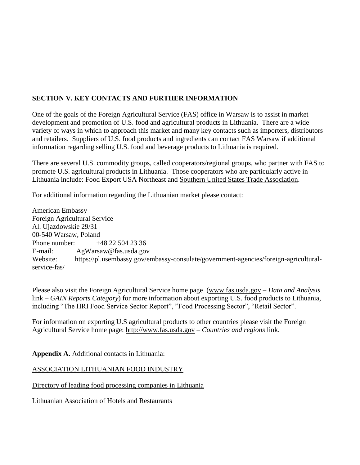## **SECTION V. KEY CONTACTS AND FURTHER INFORMATION**

One of the goals of the Foreign Agricultural Service (FAS) office in Warsaw is to assist in market development and promotion of U.S. food and agricultural products in Lithuania. There are a wide variety of ways in which to approach this market and many key contacts such as importers, distributors and retailers. Suppliers of U.S. food products and ingredients can contact FAS Warsaw if additional information regarding selling U.S. food and beverage products to Lithuania is required.

There are several U.S. commodity groups, called cooperators/regional groups, who partner with FAS to promote U.S. agricultural products in Lithuania. Those cooperators who are particularly active in Lithuania include: Food Export USA Northeast and [Southern United States Trade Association.](https://www.google.com/url?sa=t&rct=j&q=&esrc=s&source=web&cd=2&cad=rja&uact=8&ved=0ahUKEwiRtqWTt7vMAhVDdT4KHWyjCP8QFggmMAE&url=http://www.susta.org/&usg=AFQjCNEG-SGZLyzo6bS_OzgTdD40Z4XONQ&bvm=bv.121070826,d.dmo)

For additional information regarding the Lithuanian market please contact:

American Embassy Foreign Agricultural Service Al. Ujazdowskie 29/31 00-540 Warsaw, Poland Phone number: +48 22 504 23 36 E-mail: AgWarsaw@fas.usda.gov Website: https://pl.usembassy.gov/embassy-consulate/government-agencies/foreign-agriculturalservice-fas/

Please also visit the Foreign Agricultural Service home page [\(www.fas.usda.gov](http://www.fas.usda.gov/) – *Data and Analysis*  link *– GAIN Reports Category*) for more information about exporting U.S. food products to Lithuania, including "The HRI Food Service Sector Report", "Food Processing Sector", "Retail Sector".

For information on exporting U.S agricultural products to other countries please visit the Foreign Agricultural Service home page: [http://www.fas.usda.gov](http://www.fas.usda.gov/) – *Countries and regions* link.

**Appendix A.** Additional contacts in Lithuania:

[ASSOCIATION LITHUANIAN FOOD INDUSTRY](http://www.litfood-fair.com/lithuanian_food/)

[Directory of leading food processing companies in Lithuania](http://www.litfood-fair.com/index.php?lng=lt&content=pages&page_id=98)

[Lithuanian Association of Hotels and Restaurants](http://www.lvra.lt/)